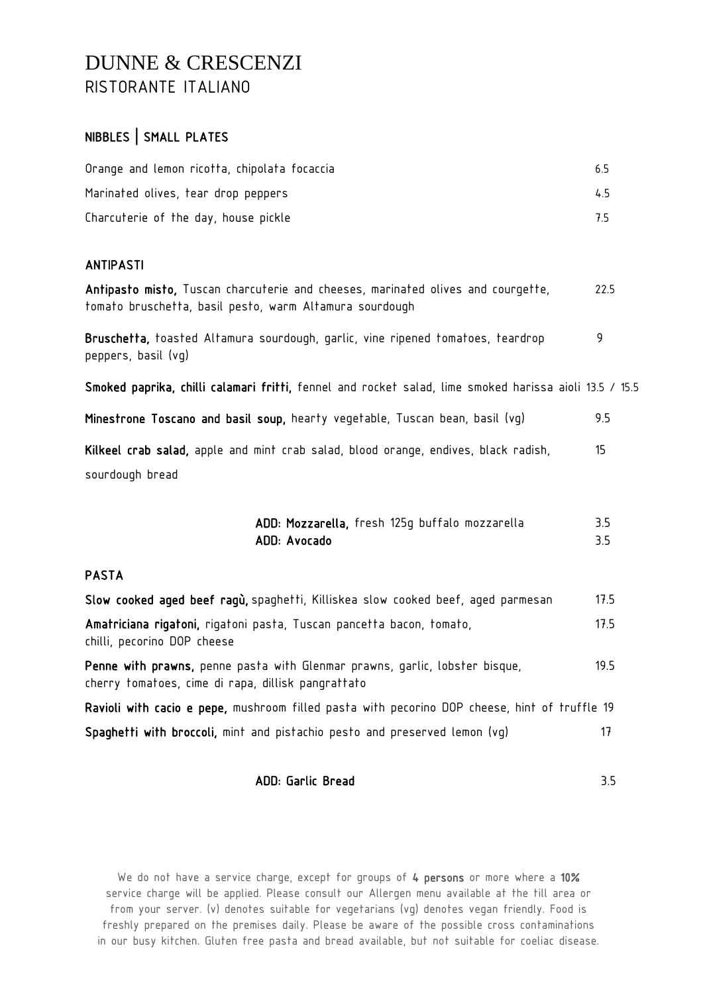## DUNNE & CRESCENZI RISTORANTE ITALIANO

## NIBBLES | SMALL PLATES

| Orange and lemon ricotta, chipolata focaccia | 65. |
|----------------------------------------------|-----|
| Marinated olives, tear drop peppers          | 45  |
| Charcuterie of the day, house pickle         | 75  |

### ANTIPASTI

| Antipasto misto, Tuscan charcuterie and cheeses, marinated olives and courgette,<br>tomato bruschetta, basil pesto, warm Altamura sourdough | 22.5 |
|---------------------------------------------------------------------------------------------------------------------------------------------|------|
| Bruschetta, toasted Altamura sourdough, garlic, vine ripened tomatoes, teardrop<br>peppers, basil (vq)                                      | 9    |
| Smoked paprika, chilli calamari fritti, fennel and rocket salad, lime smoked harissa aioli 13.5 / 15.5                                      |      |
| Minestrone Toscano and basil soup, hearty vegetable, Tuscan bean, basil (vg)                                                                | 9.5  |
| Kilkeel crab salad, apple and mint crab salad, blood orange, endives, black radish,<br>sourdough bread                                      | 15   |
|                                                                                                                                             |      |

| ADD: Mozzarella, fresh 125q buffalo mozzarella |  |  | 3.5 |
|------------------------------------------------|--|--|-----|
| ADD: Avocado                                   |  |  |     |

#### PASTA

| Slow cooked aged beef ragu, spaghetti, Killiskea slow cooked beef, aged parmesan                                                  | 17.5 |
|-----------------------------------------------------------------------------------------------------------------------------------|------|
| Amatriciana rigatoni, rigatoni pasta, Tuscan pancetta bacon, tomato,<br>chilli, pecorino DOP cheese                               | 175  |
| Penne with prawns, penne pasta with Glenmar prawns, garlic, lobster bisque,<br>cherry tomatoes, cime di rapa, dillisk pangrattato | 195  |
| $\cdots$ $\cdots$ $\cdots$ $\cdots$ $\cdots$                                                                                      |      |

Ravioli with cacio e pepe, mushroom filled pasta with pecorino DOP cheese, hint of truffle 19 Spaghetti with broccoli, mint and pistachio pesto and preserved lemon (vg) 37

#### ADD: Garlic Bread 3.5

We do not have a service charge, except for groups of 4 persons or more where a 10% service charge will be applied. Please consult our Allergen menu available at the till area or from your server. (v) denotes suitable for vegetarians (vg) denotes vegan friendly. Food is freshly prepared on the premises daily. Please be aware of the possible cross contaminations in our busy kitchen. Gluten free pasta and bread available, but not suitable for coeliac disease.